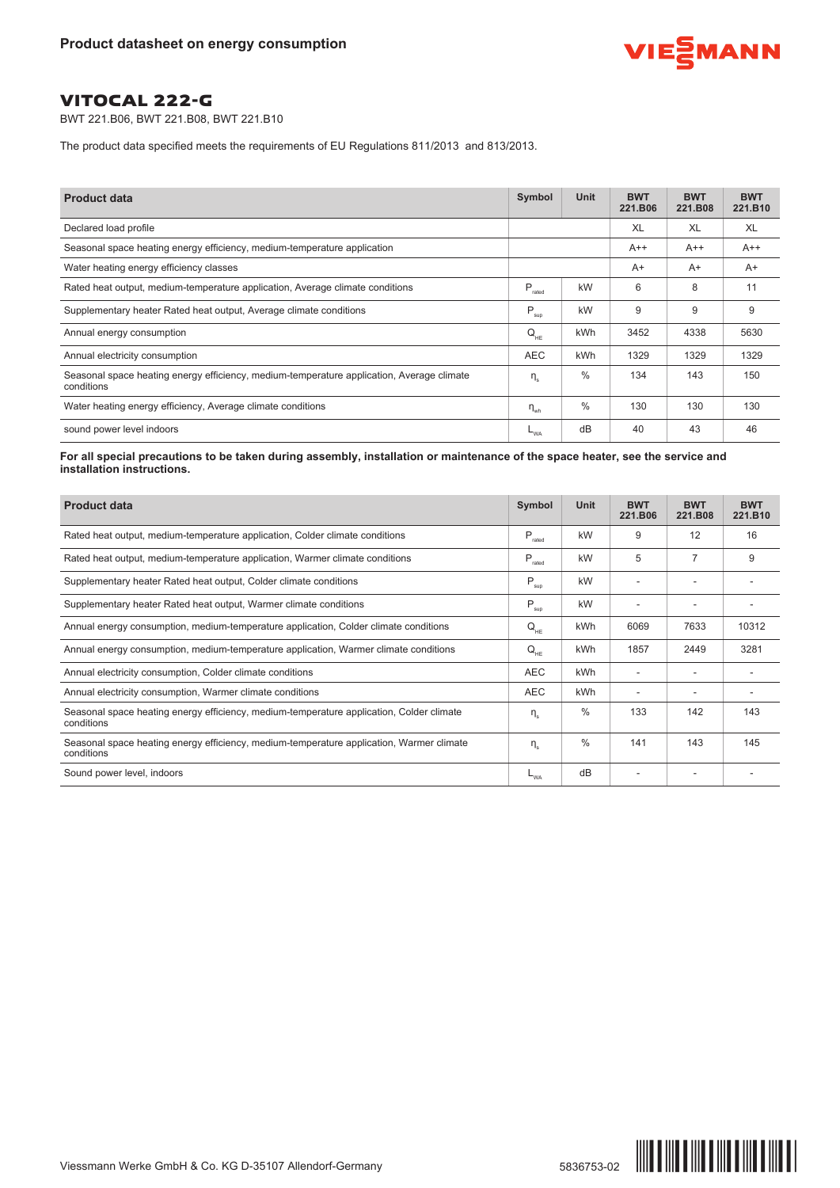

BWT 221.B06, BWT 221.B08, BWT 221.B10

The product data specified meets the requirements of EU Regulations 811/2013 and 813/2013.

| <b>Product data</b>                                                                                     | Symbol             | Unit          | <b>BWT</b><br>221.B06 | <b>BWT</b><br>221.B08 | <b>BWT</b><br>221.B10 |
|---------------------------------------------------------------------------------------------------------|--------------------|---------------|-----------------------|-----------------------|-----------------------|
| Declared load profile                                                                                   |                    |               | XL                    | XL                    | XL                    |
| Seasonal space heating energy efficiency, medium-temperature application                                |                    |               | $A++$                 | $A++$                 | $A++$                 |
| Water heating energy efficiency classes                                                                 |                    |               | $A+$                  | $A+$                  | $A+$                  |
| Rated heat output, medium-temperature application, Average climate conditions                           | $P_{\text{rated}}$ | kW            | 6                     | 8                     | 11                    |
| Supplementary heater Rated heat output, Average climate conditions                                      | $P_{\text{sup}}$   | kW            | 9                     | 9                     | 9                     |
| Annual energy consumption                                                                               | $Q_{HE}$           | kWh           | 3452                  | 4338                  | 5630                  |
| Annual electricity consumption                                                                          | <b>AEC</b>         | kWh           | 1329                  | 1329                  | 1329                  |
| Seasonal space heating energy efficiency, medium-temperature application, Average climate<br>conditions | $\eta_{\rm s}$     | $\frac{0}{0}$ | 134                   | 143                   | 150                   |
| Water heating energy efficiency, Average climate conditions                                             | $\eta_{\text{wh}}$ | $\%$          | 130                   | 130                   | 130                   |
| sound power level indoors                                                                               | $-w_A$             | dB            | 40                    | 43                    | 46                    |

For all special precautions to be taken during assembly, installation or maintenance of the space heater, see the service and **installation instructions.**

| <b>Product data</b>                                                                                    | Symbol                                       | Unit          | <b>BWT</b><br>221.B06 | <b>BWT</b><br>221.B08 | <b>BWT</b><br>221.B10 |
|--------------------------------------------------------------------------------------------------------|----------------------------------------------|---------------|-----------------------|-----------------------|-----------------------|
| Rated heat output, medium-temperature application, Colder climate conditions                           | $P_{\tiny\mbox{rated}}$                      | kW            | 9                     | 12                    | 16                    |
| Rated heat output, medium-temperature application, Warmer climate conditions                           | P<br>rated                                   | kW            | 5                     | $\overline{7}$        | 9                     |
| Supplementary heater Rated heat output, Colder climate conditions                                      | P<br>sup                                     | kW            |                       |                       |                       |
| Supplementary heater Rated heat output, Warmer climate conditions                                      | P<br>sup                                     | kW            |                       |                       |                       |
| Annual energy consumption, medium-temperature application, Colder climate conditions                   | $\mathsf{Q}_{\scriptscriptstyle\mathsf{HE}}$ | kWh           | 6069                  | 7633                  | 10312                 |
| Annual energy consumption, medium-temperature application, Warmer climate conditions                   | $Q_{HF}$                                     | <b>kWh</b>    | 1857                  | 2449                  | 3281                  |
| Annual electricity consumption, Colder climate conditions                                              | <b>AEC</b>                                   | kWh           |                       |                       |                       |
| Annual electricity consumption, Warmer climate conditions                                              | <b>AEC</b>                                   | kWh           | ۰                     | ۰                     |                       |
| Seasonal space heating energy efficiency, medium-temperature application, Colder climate<br>conditions | $\eta_{\scriptscriptstyle\rm e}$             | $\frac{0}{0}$ | 133                   | 142                   | 143                   |
| Seasonal space heating energy efficiency, medium-temperature application, Warmer climate<br>conditions | $\eta_s$                                     | $\%$          | 141                   | 143                   | 145                   |
| Sound power level, indoors                                                                             | $L_{WA}$                                     | dB            |                       |                       |                       |

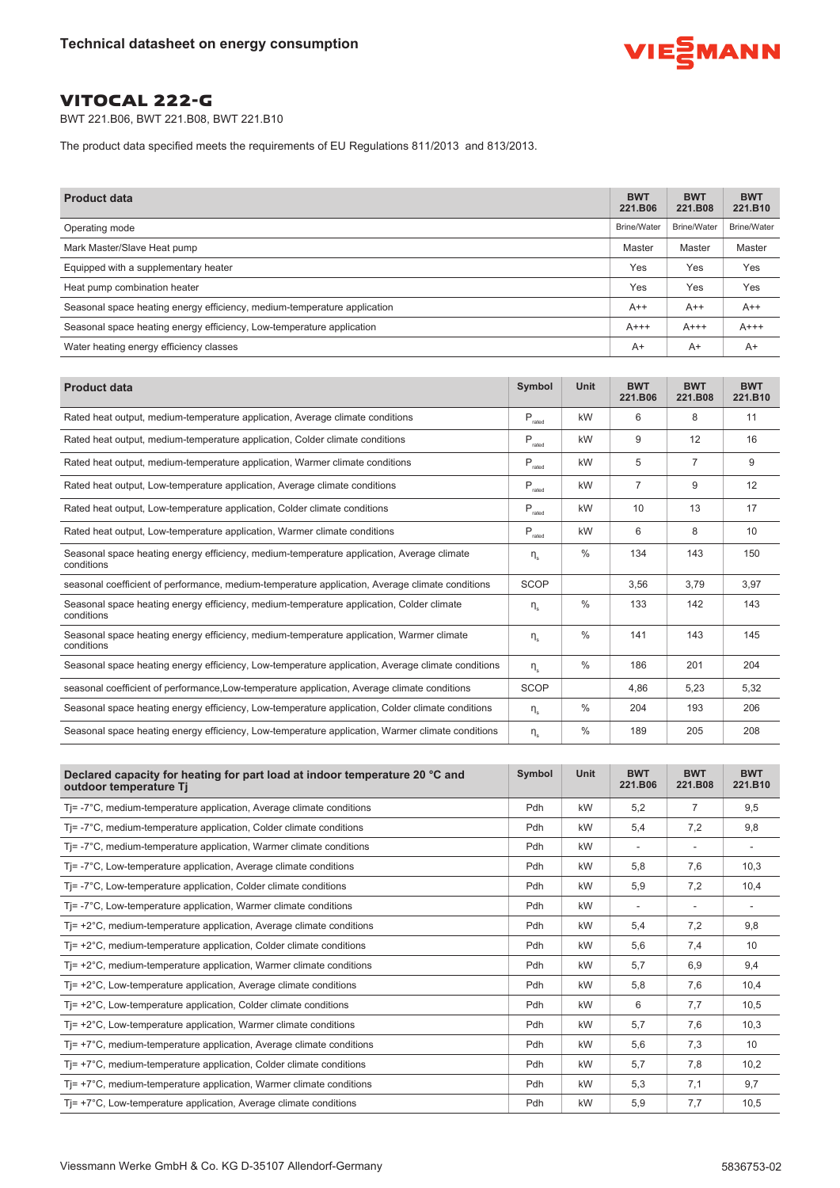

BWT 221.B06, BWT 221.B08, BWT 221.B10

The product data specified meets the requirements of EU Regulations 811/2013 and 813/2013.

| <b>Product data</b>                                                      | <b>BWT</b><br>221.B06 | <b>BWT</b><br>221.B08 | <b>BWT</b><br>221.B10 |
|--------------------------------------------------------------------------|-----------------------|-----------------------|-----------------------|
| Operating mode                                                           | <b>Brine/Water</b>    | <b>Brine/Water</b>    | <b>Brine/Water</b>    |
| Mark Master/Slave Heat pump                                              | Master                | Master                | Master                |
| Equipped with a supplementary heater                                     | Yes                   | Yes                   | Yes                   |
| Heat pump combination heater                                             | Yes                   | Yes                   | Yes                   |
| Seasonal space heating energy efficiency, medium-temperature application | $A++$                 | $A++$                 | $A++$                 |
| Seasonal space heating energy efficiency, Low-temperature application    | $A+++$                | $A+++$                | $A+++$                |
| Water heating energy efficiency classes                                  | $A+$                  | $A+$                  | $A+$                  |

| <b>Product data</b>                                                                                     | Symbol                             | Unit          | <b>BWT</b><br>221.B06 | <b>BWT</b><br>221.B08 | <b>BWT</b><br>221.B10 |
|---------------------------------------------------------------------------------------------------------|------------------------------------|---------------|-----------------------|-----------------------|-----------------------|
| Rated heat output, medium-temperature application, Average climate conditions                           | $\mathsf{P}_{\text{rated}}$        | kW            | 6                     | 8                     | 11                    |
| Rated heat output, medium-temperature application, Colder climate conditions                            | $\mathsf{P}_{\text{\tiny{rated}}}$ | kW            | 9                     | 12                    | 16                    |
| Rated heat output, medium-temperature application, Warmer climate conditions                            | $P_{\text{rated}}$                 | kW            | 5                     | $\overline{7}$        | 9                     |
| Rated heat output, Low-temperature application, Average climate conditions                              | $\mathsf{P}_{\text{rated}}$        | kW            | $\overline{7}$        | 9                     | 12                    |
| Rated heat output, Low-temperature application, Colder climate conditions                               | $\mathsf{P}_{\text{rated}}$        | kW            | 10                    | 13                    | 17                    |
| Rated heat output, Low-temperature application, Warmer climate conditions                               | $P_{\text{rated}}$                 | kW            | 6                     | 8                     | 10                    |
| Seasonal space heating energy efficiency, medium-temperature application, Average climate<br>conditions | $\eta_{\scriptscriptstyle{e}}$     | $\frac{0}{0}$ | 134                   | 143                   | 150                   |
| seasonal coefficient of performance, medium-temperature application, Average climate conditions         | <b>SCOP</b>                        |               | 3.56                  | 3.79                  | 3.97                  |
| Seasonal space heating energy efficiency, medium-temperature application, Colder climate<br>conditions  | $\eta_{\scriptscriptstyle{e}}$     | $\frac{0}{0}$ | 133                   | 142                   | 143                   |
| Seasonal space heating energy efficiency, medium-temperature application, Warmer climate<br>conditions  | $\eta_{\scriptscriptstyle{e}}$     | $\frac{0}{0}$ | 141                   | 143                   | 145                   |
| Seasonal space heating energy efficiency, Low-temperature application, Average climate conditions       | $\eta_e$                           | $\frac{0}{0}$ | 186                   | 201                   | 204                   |
| seasonal coefficient of performance, Low-temperature application, Average climate conditions            | <b>SCOP</b>                        |               | 4,86                  | 5.23                  | 5,32                  |
| Seasonal space heating energy efficiency, Low-temperature application, Colder climate conditions        | $\eta_s$                           | $\frac{0}{0}$ | 204                   | 193                   | 206                   |
| Seasonal space heating energy efficiency, Low-temperature application, Warmer climate conditions        | $\eta_{\scriptscriptstyle{e}}$     | $\%$          | 189                   | 205                   | 208                   |

| Declared capacity for heating for part load at indoor temperature 20 °C and<br>outdoor temperature Tj | Symbol | Unit | <b>BWT</b><br>221.B06 | <b>BWT</b><br>221.B08 | <b>BWT</b><br>221.B10 |
|-------------------------------------------------------------------------------------------------------|--------|------|-----------------------|-----------------------|-----------------------|
| $T = -7^{\circ}C$ , medium-temperature application, Average climate conditions                        | Pdh    | kW   | 5,2                   | $\overline{7}$        | 9,5                   |
| Ti=-7°C, medium-temperature application, Colder climate conditions                                    | Pdh    | kW   | 5,4                   | 7,2                   | 9,8                   |
| Tj = -7°C, medium-temperature application, Warmer climate conditions                                  | Pdh    | kW   |                       |                       |                       |
| Tj=-7°C, Low-temperature application, Average climate conditions                                      | Pdh    | kW   | 5,8                   | 7,6                   | 10,3                  |
| Ti=-7°C, Low-temperature application, Colder climate conditions                                       | Pdh    | kW   | 5,9                   | 7,2                   | 10,4                  |
| Tj=-7°C, Low-temperature application, Warmer climate conditions                                       | Pdh    | kW   |                       |                       |                       |
| Tj= +2°C, medium-temperature application, Average climate conditions                                  | Pdh    | kW   | 5.4                   | 7,2                   | 9,8                   |
| $T = +2^{\circ}C$ , medium-temperature application, Colder climate conditions                         | Pdh    | kW   | 5,6                   | 7,4                   | 10                    |
| $T = +2^{\circ}C$ , medium-temperature application, Warmer climate conditions                         | Pdh    | kW   | 5,7                   | 6,9                   | 9,4                   |
| Tj= +2°C, Low-temperature application, Average climate conditions                                     | Pdh    | kW   | 5,8                   | 7,6                   | 10,4                  |
| Ti= +2°C, Low-temperature application, Colder climate conditions                                      | Pdh    | kW   | 6                     | 7,7                   | 10,5                  |
| $T = +2^{\circ}C$ , Low-temperature application, Warmer climate conditions                            | Pdh    | kW   | 5,7                   | 7,6                   | 10,3                  |
| $T = +7^{\circ}C$ , medium-temperature application, Average climate conditions                        | Pdh    | kW   | 5,6                   | 7,3                   | 10                    |
| $T = +7^{\circ}C$ , medium-temperature application, Colder climate conditions                         | Pdh    | kW   | 5.7                   | 7,8                   | 10,2                  |
| $T = +7^{\circ}C$ , medium-temperature application, Warmer climate conditions                         | Pdh    | kW   | 5,3                   | 7,1                   | 9,7                   |
| Tj= +7°C, Low-temperature application, Average climate conditions                                     | Pdh    | kW   | 5,9                   | 7,7                   | 10,5                  |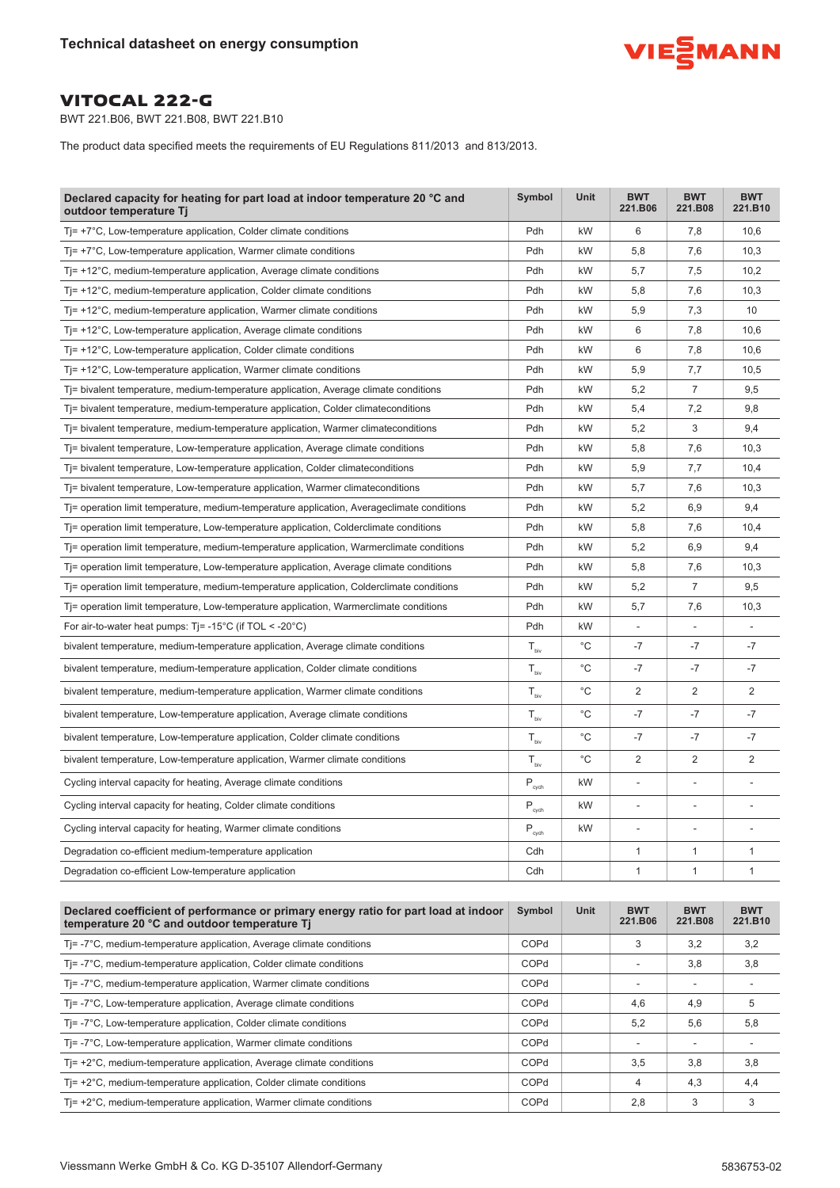

BWT 221.B06, BWT 221.B08, BWT 221.B10

The product data specified meets the requirements of EU Regulations 811/2013 and 813/2013.

| Declared capacity for heating for part load at indoor temperature 20 °C and<br>outdoor temperature Tj                               | Symbol                       | Unit        | <b>BWT</b><br>221.B06    | <b>BWT</b><br>221.B08    | <b>BWT</b><br>221.B10 |
|-------------------------------------------------------------------------------------------------------------------------------------|------------------------------|-------------|--------------------------|--------------------------|-----------------------|
| $T = +7^{\circ}C$ , Low-temperature application, Colder climate conditions                                                          | Pdh                          | kW          | 6                        | 7,8                      | 10,6                  |
| $Tj=+7^{\circ}C$ , Low-temperature application, Warmer climate conditions                                                           | Pdh                          | kW          | 5,8                      | 7,6                      | 10,3                  |
| $T = +12^{\circ}$ C, medium-temperature application, Average climate conditions                                                     | Pdh                          | kW          | 5,7                      | 7,5                      | 10,2                  |
| $T = +12^{\circ}C$ , medium-temperature application, Colder climate conditions                                                      | Pdh                          | kW          | 5,8                      | 7,6                      | 10,3                  |
| $T = +12^{\circ}C$ , medium-temperature application, Warmer climate conditions                                                      | Pdh                          | kW          | 5,9                      | 7,3                      | 10                    |
| $Tj$ = +12 $^{\circ}$ C, Low-temperature application, Average climate conditions                                                    | Pdh                          | kW          | 6                        | 7,8                      | 10,6                  |
| $T = +12^{\circ}$ C, Low-temperature application, Colder climate conditions                                                         | Pdh                          | kW          | 6                        | 7,8                      | 10,6                  |
| $T = +12^{\circ}C$ , Low-temperature application, Warmer climate conditions                                                         | Pdh                          | kW          | 5,9                      | 7,7                      | 10,5                  |
| $T$ = bivalent temperature, medium-temperature application, Average climate conditions                                              | Pdh                          | kW          | 5,2                      | 7                        | 9,5                   |
| $T =$ bivalent temperature, medium-temperature application, Colder climate conditions                                               | Pdh                          | kW          | 5,4                      | 7,2                      | 9,8                   |
| Tj= bivalent temperature, medium-temperature application, Warmer climateconditions                                                  | Pdh                          | kW          | 5,2                      | 3                        | 9,4                   |
| Tj= bivalent temperature, Low-temperature application, Average climate conditions                                                   | Pdh                          | kW          | 5,8                      | 7,6                      | 10,3                  |
| T= bivalent temperature, Low-temperature application, Colder climateconditions                                                      | Pdh                          | kW          | 5,9                      | 7,7                      | 10,4                  |
| T <sub>j</sub> = bivalent temperature, Low-temperature application, Warmer climateconditions                                        | Pdh                          | kW          | 5,7                      | 7,6                      | 10,3                  |
| T = operation limit temperature, medium-temperature application, Averageclimate conditions                                          | Pdh                          | kW          | 5,2                      | 6,9                      | 9,4                   |
| T= operation limit temperature, Low-temperature application, Colderclimate conditions                                               | Pdh                          | kW          | 5,8                      | 7,6                      | 10,4                  |
| Ti= operation limit temperature, medium-temperature application, Warmerclimate conditions                                           | Pdh                          | kW          | 5,2                      | 6,9                      | 9,4                   |
| T= operation limit temperature, Low-temperature application, Average climate conditions                                             | Pdh                          | kW          | 5,8                      | 7,6                      | 10,3                  |
| T= operation limit temperature, medium-temperature application, Colderclimate conditions                                            | Pdh                          | kW          | 5,2                      | $\overline{7}$           | 9,5                   |
| Tj= operation limit temperature, Low-temperature application, Warmerclimate conditions                                              | Pdh                          | kW          | 5,7                      | 7,6                      | 10,3                  |
| For air-to-water heat pumps: $T = -15^{\circ}C$ (if TOL < -20 $^{\circ}C$ )                                                         | Pdh                          | kW          | $\overline{\phantom{a}}$ |                          |                       |
| bivalent temperature, medium-temperature application, Average climate conditions                                                    | $T_{\text{biv}}$             | $^{\circ}C$ | $-7$                     | $-7$                     | $-7$                  |
| bivalent temperature, medium-temperature application, Colder climate conditions                                                     | $T_{\text{biv}}$             | $^{\circ}C$ | $-7$                     | -7                       | $-7$                  |
| bivalent temperature, medium-temperature application, Warmer climate conditions                                                     | $T_{\rm biv}$                | $^{\circ}C$ | $\overline{2}$           | 2                        | 2                     |
| bivalent temperature, Low-temperature application, Average climate conditions                                                       | $T_{\text{biv}}$             | $^{\circ}C$ | $-7$                     | $-7$                     | $-7$                  |
| bivalent temperature, Low-temperature application, Colder climate conditions                                                        | $T_{\text{biv}}$             | $^{\circ}C$ | $-7$                     | -7                       | $-7$                  |
| bivalent temperature, Low-temperature application, Warmer climate conditions                                                        | $T_{\text{biv}}$             | $^{\circ}C$ | $\overline{2}$           | $\overline{2}$           | $\mathbf{2}$          |
| Cycling interval capacity for heating, Average climate conditions                                                                   | $P_{\text{cych}}$            | kW          | $\overline{\phantom{a}}$ |                          |                       |
| Cycling interval capacity for heating, Colder climate conditions                                                                    | $P_{\text{cych}}$            | kW          | $\overline{a}$           | $\overline{\phantom{m}}$ |                       |
| Cycling interval capacity for heating, Warmer climate conditions                                                                    | $\mathsf{P}_{\mathsf{cych}}$ | kW          | ä,                       |                          |                       |
| Degradation co-efficient medium-temperature application                                                                             | Cdh                          |             | 1                        | 1                        | 1                     |
| Degradation co-efficient Low-temperature application                                                                                | Cdh                          |             | $\mathbf{1}$             | 1                        | $\mathbf{1}$          |
|                                                                                                                                     |                              |             |                          |                          |                       |
| Declared coefficient of performance or primary energy ratio for part load at indoor<br>temperature 20 °C and outdoor temperature Tj | Symbol                       | Unit        | <b>BWT</b><br>221.B06    | <b>BWT</b><br>221.B08    | <b>BWT</b><br>221.B10 |
| Tj = -7°C, medium-temperature application, Average climate conditions                                                               | COPd                         |             | 3                        | 3,2                      | 3,2                   |
| Ti=-7°C, medium-temperature application, Colder climate conditions                                                                  | COPd                         |             |                          | 3,8                      | 3,8                   |
| $T = -7^{\circ}C$ , medium-temperature application, Warmer climate conditions                                                       | COPd                         |             | $\overline{\phantom{a}}$ |                          |                       |
| $T = -7^{\circ}C$ , Low-temperature application, Average climate conditions                                                         | COPd                         |             | 4,6                      | 4,9                      | 5                     |
| Tj=-7°C, Low-temperature application, Colder climate conditions                                                                     | COPd                         |             | 5,2                      | 5,6                      | 5,8                   |
| Tj=-7°C, Low-temperature application, Warmer climate conditions                                                                     | COPd                         |             | $\overline{\phantom{a}}$ | $\overline{a}$           | L,                    |
| $T = +2^{\circ}C$ , medium-temperature application, Average climate conditions                                                      | COPd                         |             | 3,5                      | 3,8                      | 3,8                   |

Tj= +2°C, medium-temperature application, Colder climate conditions COPd 4 4,3 4,4 Tj= +2 $\degree$ C, medium-temperature application, Warmer climate conditions  $\qquad \qquad \qquad$  COPd  $\qquad \qquad$  2,8  $\qquad \qquad$  3 3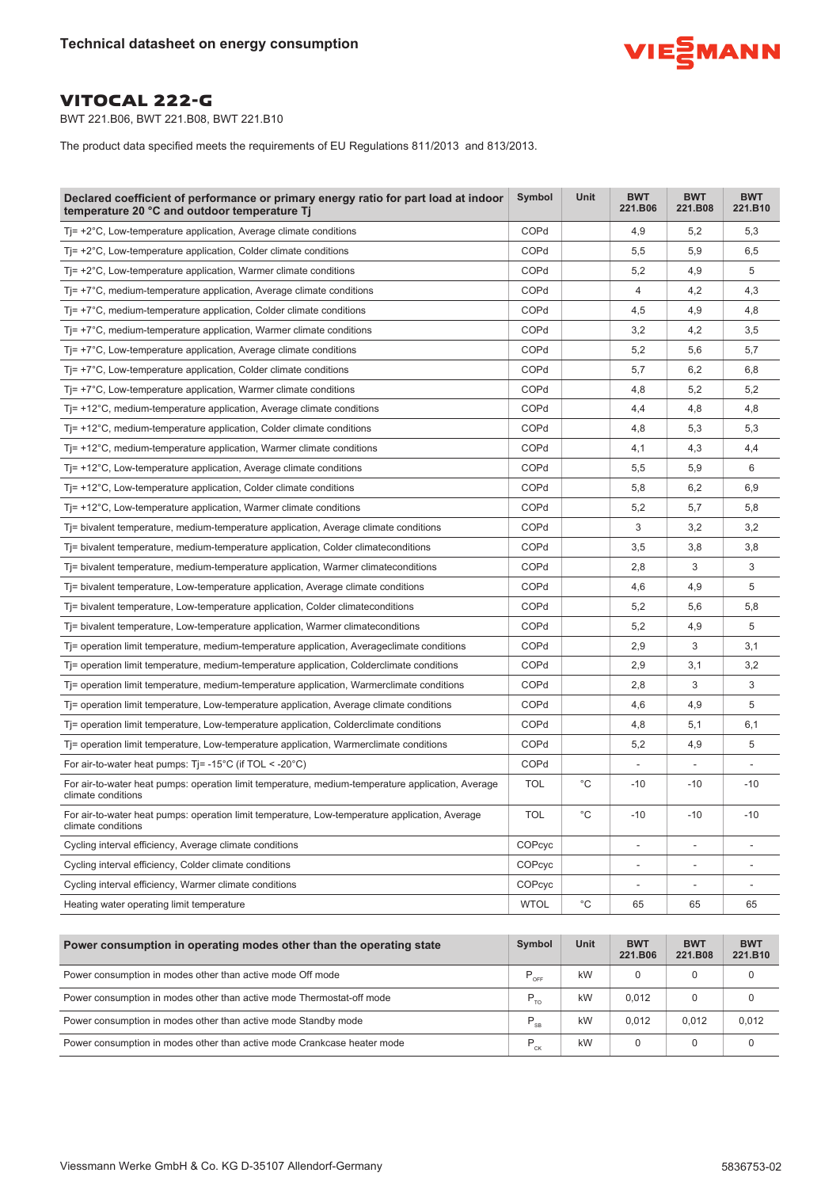

BWT 221.B06, BWT 221.B08, BWT 221.B10

The product data specified meets the requirements of EU Regulations 811/2013 and 813/2013.

| Declared coefficient of performance or primary energy ratio for part load at indoor<br>temperature 20 °C and outdoor temperature Tj | Symbol      | Unit        | <b>BWT</b><br>221.B06        | <b>BWT</b><br>221.B08    | <b>BWT</b><br>221.B10 |
|-------------------------------------------------------------------------------------------------------------------------------------|-------------|-------------|------------------------------|--------------------------|-----------------------|
| $T = +2^{\circ}C$ , Low-temperature application, Average climate conditions                                                         | COPd        |             | 4,9                          | 5,2                      | 5,3                   |
| $T = +2^{\circ}C$ , Low-temperature application, Colder climate conditions                                                          | COPd        |             | 5,5                          | 5,9                      | 6,5                   |
| $T = +2^{\circ}C$ , Low-temperature application, Warmer climate conditions                                                          | COPd        |             | 5,2                          | 4,9                      | 5                     |
| $T = +7^{\circ}C$ , medium-temperature application, Average climate conditions                                                      | COPd        |             | 4                            | 4,2                      | 4,3                   |
| $T = +7^{\circ}C$ , medium-temperature application, Colder climate conditions                                                       | COPd        |             | 4,5                          | 4,9                      | 4,8                   |
| $T = +7^{\circ}C$ , medium-temperature application, Warmer climate conditions                                                       | COPd        |             | 3,2                          | 4,2                      | 3,5                   |
| $T = +7^{\circ}C$ , Low-temperature application, Average climate conditions                                                         | COPd        |             | 5,2                          | 5,6                      | 5,7                   |
| $T = +7^{\circ}C$ , Low-temperature application, Colder climate conditions                                                          | COPd        |             | 5,7                          | 6,2                      | 6,8                   |
| $T = +7^{\circ}C$ , Low-temperature application, Warmer climate conditions                                                          | COPd        |             | 4,8                          | 5,2                      | 5,2                   |
| $T = +12^{\circ}C$ , medium-temperature application, Average climate conditions                                                     | COPd        |             | 4,4                          | 4,8                      | 4,8                   |
| $T = +12^{\circ}C$ , medium-temperature application, Colder climate conditions                                                      | COPd        |             | 4,8                          | 5,3                      | 5,3                   |
| $T = +12^{\circ}$ C, medium-temperature application, Warmer climate conditions                                                      | COPd        |             | 4,1                          | 4,3                      | 4,4                   |
| $Ti=+12^{\circ}$ C, Low-temperature application, Average climate conditions                                                         | COPd        |             | 5,5                          | 5,9                      | 6                     |
| $T = +12^{\circ}C$ , Low-temperature application, Colder climate conditions                                                         | COPd        |             | 5,8                          | 6,2                      | 6,9                   |
| $T = +12^{\circ}C$ , Low-temperature application, Warmer climate conditions                                                         | COPd        |             | 5,2                          | 5,7                      | 5,8                   |
| T= bivalent temperature, medium-temperature application, Average climate conditions                                                 | COPd        |             | 3                            | 3,2                      | 3,2                   |
| Tj= bivalent temperature, medium-temperature application, Colder climateconditions                                                  | COPd        |             | 3,5                          | 3,8                      | 3,8                   |
| T= bivalent temperature, medium-temperature application, Warmer climateconditions                                                   | COPd        |             | 2,8                          | 3                        | 3                     |
| Ti= bivalent temperature, Low-temperature application, Average climate conditions                                                   | COPd        |             | 4,6                          | 4,9                      | 5                     |
| Tj= bivalent temperature, Low-temperature application, Colder climateconditions                                                     | COPd        |             | 5,2                          | 5,6                      | 5,8                   |
| Ti= bivalent temperature, Low-temperature application, Warmer climateconditions                                                     | COPd        |             | 5,2                          | 4,9                      | 5                     |
| Tj= operation limit temperature, medium-temperature application, Averageclimate conditions                                          | COPd        |             | 2,9                          | 3                        | 3,1                   |
| Tj= operation limit temperature, medium-temperature application, Colderclimate conditions                                           | COPd        |             | 2,9                          | 3,1                      | 3,2                   |
| Ti= operation limit temperature, medium-temperature application, Warmerclimate conditions                                           | COPd        |             | 2,8                          | 3                        | 3                     |
| Ti= operation limit temperature, Low-temperature application, Average climate conditions                                            | COPd        |             | 4,6                          | 4,9                      | 5                     |
| Tj= operation limit temperature, Low-temperature application, Colderclimate conditions                                              | COPd        |             | 4,8                          | 5,1                      | 6,1                   |
| Ti= operation limit temperature, Low-temperature application, Warmerclimate conditions                                              | COPd        |             | 5,2                          | 4,9                      | 5                     |
| For air-to-water heat pumps: $Ti = -15^{\circ}C$ (if TOL < -20 $^{\circ}C$ )                                                        | COPd        |             |                              |                          |                       |
| For air-to-water heat pumps: operation limit temperature, medium-temperature application, Average<br>climate conditions             | <b>TOL</b>  | $^{\circ}C$ | $-10$                        | $-10$                    | $-10$                 |
| For air-to-water heat pumps: operation limit temperature, Low-temperature application, Average<br>climate conditions                | <b>TOL</b>  | $^{\circ}C$ | $-10$                        | $-10$                    | $-10$                 |
| Cycling interval efficiency, Average climate conditions                                                                             | COPcyc      |             |                              |                          |                       |
| Cycling interval efficiency, Colder climate conditions                                                                              | COPcyc      |             | $\qquad \qquad \blacksquare$ | $\overline{\phantom{a}}$ |                       |
| Cycling interval efficiency, Warmer climate conditions                                                                              | COPcyc      |             | $\overline{\phantom{0}}$     |                          |                       |
| Heating water operating limit temperature                                                                                           | <b>WTOL</b> | $^{\circ}C$ | 65                           | 65                       | 65                    |
|                                                                                                                                     |             |             |                              |                          |                       |

| Power consumption in operating modes other than the operating state     | Symbol              | Unit | <b>BWT</b><br>221.B06 | <b>BWT</b><br>221.B08 | <b>BWT</b><br>221.B10 |
|-------------------------------------------------------------------------|---------------------|------|-----------------------|-----------------------|-----------------------|
| Power consumption in modes other than active mode Off mode              | $P_{_{\text{OFF}}}$ | kW   |                       |                       |                       |
| Power consumption in modes other than active mode Thermostat-off mode   | $P_{TQ}$            | kW   | 0.012                 | 0                     |                       |
| Power consumption in modes other than active mode Standby mode          | $P_{SB}$            | kW   | 0.012                 | 0.012                 | 0.012                 |
| Power consumption in modes other than active mode Crankcase heater mode | $P_{CK}$            | kW   |                       | 0                     |                       |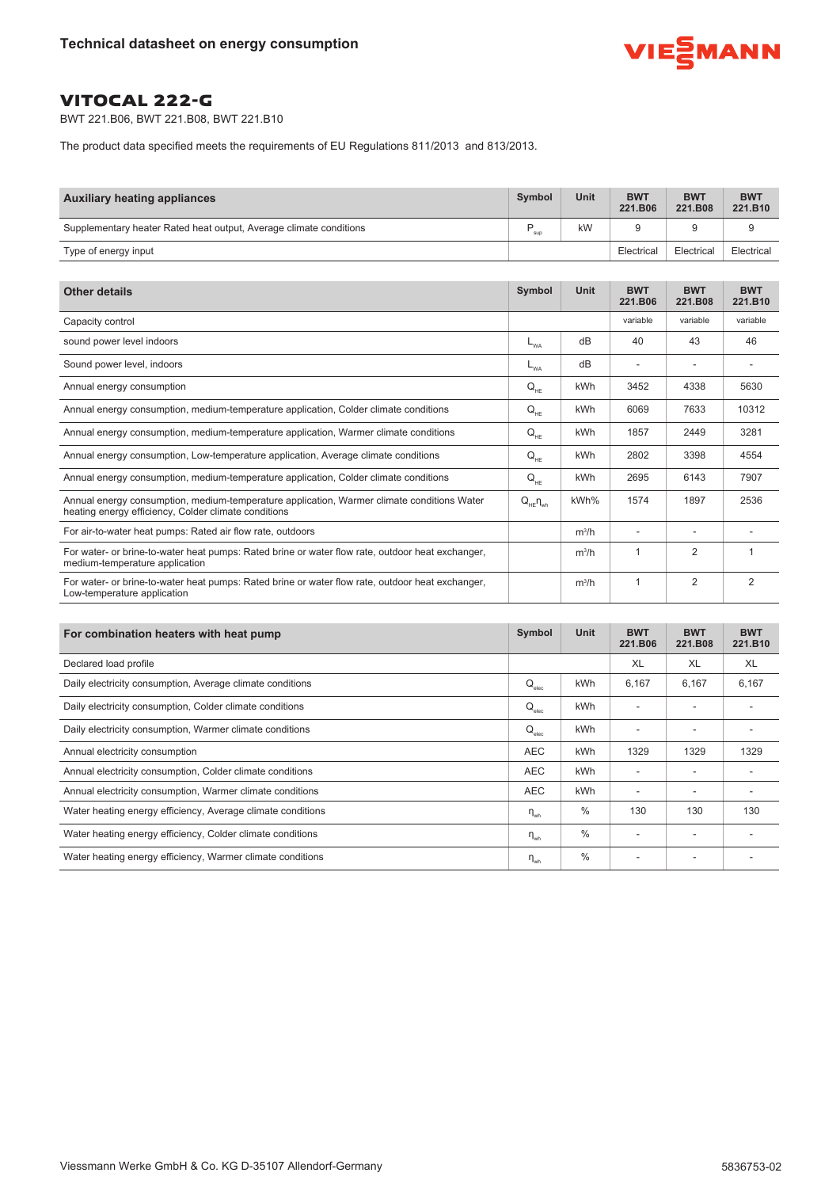

BWT 221.B06, BWT 221.B08, BWT 221.B10

The product data specified meets the requirements of EU Regulations 811/2013 and 813/2013.

| <b>Auxiliary heating appliances</b>                                | <b>Symbol</b> | <b>Unit</b> | <b>BWT</b><br>221.B06 | <b>BWT</b><br>221.B08 | <b>BWT</b><br>221.B10 |
|--------------------------------------------------------------------|---------------|-------------|-----------------------|-----------------------|-----------------------|
| Supplementary heater Rated heat output, Average climate conditions | sup           | kW          |                       |                       |                       |
| Type of energy input                                               |               |             | Electrical            | Electrical            | Electrical            |

| <b>Other details</b>                                                                                                                               | Symbol             | <b>Unit</b> | <b>BWT</b><br>221.B06 | <b>BWT</b><br>221.B08 | <b>BWT</b><br>221.B10 |
|----------------------------------------------------------------------------------------------------------------------------------------------------|--------------------|-------------|-----------------------|-----------------------|-----------------------|
| Capacity control                                                                                                                                   |                    |             | variable              | variable              | variable              |
| sound power level indoors                                                                                                                          | $L_{WA}$           | dB          | 40                    | 43                    | 46                    |
| Sound power level, indoors                                                                                                                         | $-WA$              | dB          |                       |                       |                       |
| Annual energy consumption                                                                                                                          | $Q_{HF}$           | kWh         | 3452                  | 4338                  | 5630                  |
| Annual energy consumption, medium-temperature application, Colder climate conditions                                                               | $Q_{HE}$           | kWh         | 6069                  | 7633                  | 10312                 |
| Annual energy consumption, medium-temperature application, Warmer climate conditions                                                               | $Q_{HE}$           | <b>kWh</b>  | 1857                  | 2449                  | 3281                  |
| Annual energy consumption, Low-temperature application, Average climate conditions                                                                 | $Q_{HF}$           | kWh         | 2802                  | 3398                  | 4554                  |
| Annual energy consumption, medium-temperature application, Colder climate conditions                                                               | $Q_{HE}$           | kWh         | 2695                  | 6143                  | 7907                  |
| Annual energy consumption, medium-temperature application, Warmer climate conditions Water<br>heating energy efficiency, Colder climate conditions | $Q_{HE} \eta_{wh}$ | kWh%        | 1574                  | 1897                  | 2536                  |
| For air-to-water heat pumps: Rated air flow rate, outdoors                                                                                         |                    | $m^3/h$     |                       |                       |                       |
| For water- or brine-to-water heat pumps: Rated brine or water flow rate, outdoor heat exchanger,<br>medium-temperature application                 |                    | $m^3/h$     |                       | $\overline{2}$        |                       |
| For water- or brine-to-water heat pumps: Rated brine or water flow rate, outdoor heat exchanger,<br>Low-temperature application                    |                    | $m^3/h$     |                       | 2                     | $\overline{2}$        |

| For combination heaters with heat pump                      | Symbol                          | <b>Unit</b>   | <b>BWT</b><br>221.B06 | <b>BWT</b><br>221.B08 | <b>BWT</b><br>221.B10 |
|-------------------------------------------------------------|---------------------------------|---------------|-----------------------|-----------------------|-----------------------|
| Declared load profile                                       |                                 |               | XL                    | XL                    | XL                    |
| Daily electricity consumption, Average climate conditions   | $\mathsf{Q}_{_{\mathsf{elec}}}$ | kWh           | 6,167                 | 6,167                 | 6,167                 |
| Daily electricity consumption, Colder climate conditions    | $\mathsf{Q}_{_{\mathsf{elec}}}$ | kWh           |                       |                       |                       |
| Daily electricity consumption, Warmer climate conditions    | $\mathsf{Q}_{_{\mathsf{elec}}}$ | kWh           |                       |                       |                       |
| Annual electricity consumption                              | <b>AEC</b>                      | kWh           | 1329                  | 1329                  | 1329                  |
| Annual electricity consumption, Colder climate conditions   | <b>AEC</b>                      | kWh           |                       |                       |                       |
| Annual electricity consumption, Warmer climate conditions   | <b>AEC</b>                      | kWh           |                       |                       |                       |
| Water heating energy efficiency, Average climate conditions | $\eta_{wh}$                     | $\%$          | 130                   | 130                   | 130                   |
| Water heating energy efficiency, Colder climate conditions  | $n_{\rm wh}$                    | $\frac{0}{0}$ |                       |                       |                       |
| Water heating energy efficiency, Warmer climate conditions  | $\eta_{wh}$                     | $\frac{0}{0}$ |                       |                       |                       |